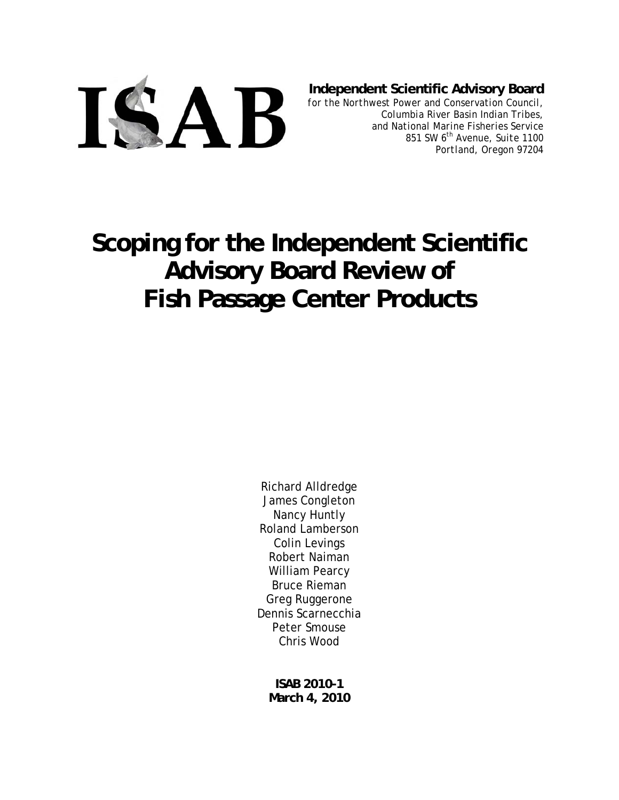

**Independent Scientific Advisory Board**

*for the Northwest Power and Conservation Council, Columbia River Basin Indian Tribes, and National Marine Fisheries Service 851 SW 6th Avenue, Suite 1100 Portland, Oregon 97204* 

# **Scoping for the Independent Scientific Advisory Board Review of Fish Passage Center Products**

Richard Alldredge James Congleton Nancy Huntly Roland Lamberson Colin Levings Robert Naiman William Pearcy Bruce Rieman Greg Ruggerone Dennis Scarnecchia Peter Smouse Chris Wood

**ISAB 2010-1 March 4, 2010**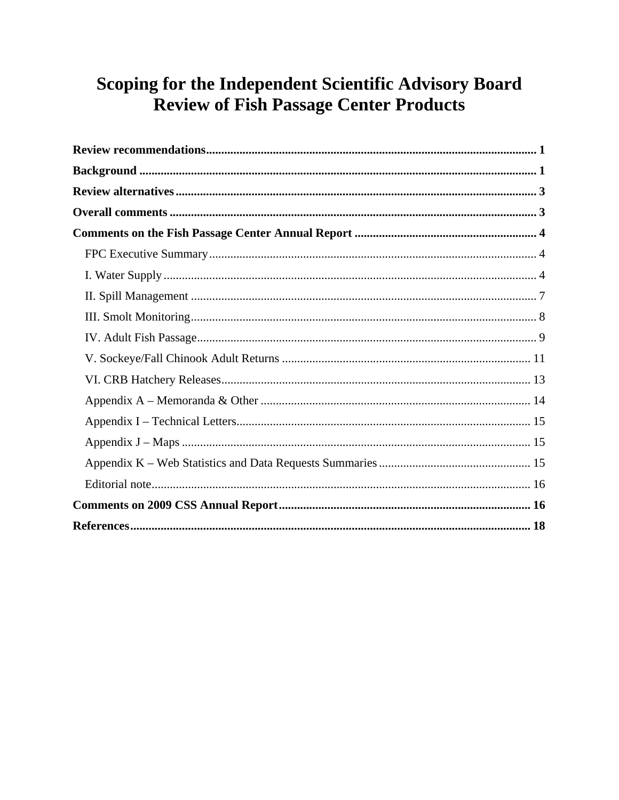## Scoping for the Independent Scientific Advisory Board **Review of Fish Passage Center Products**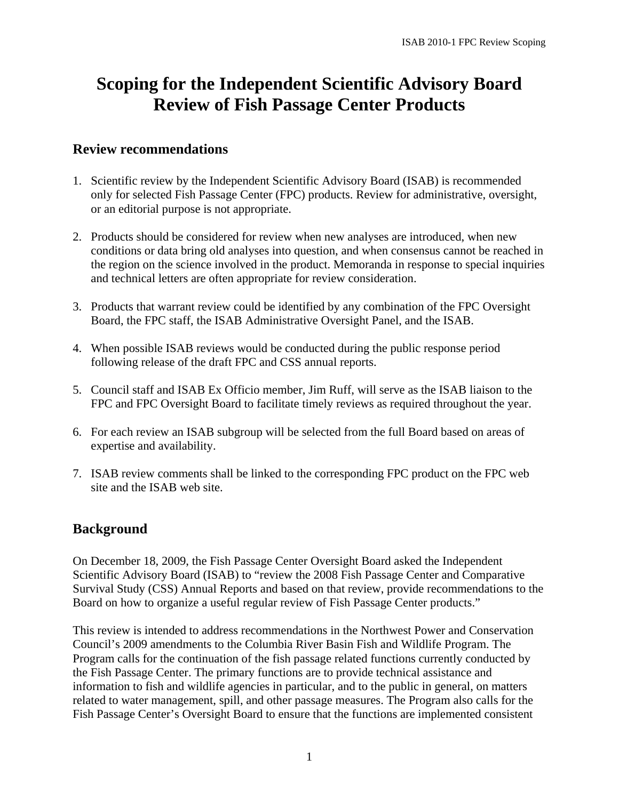## **Scoping for the Independent Scientific Advisory Board Review of Fish Passage Center Products**

## **Review recommendations**

- 1. Scientific review by the Independent Scientific Advisory Board (ISAB) is recommended only for selected Fish Passage Center (FPC) products. Review for administrative, oversight, or an editorial purpose is not appropriate.
- 2. Products should be considered for review when new analyses are introduced, when new conditions or data bring old analyses into question, and when consensus cannot be reached in the region on the science involved in the product. Memoranda in response to special inquiries and technical letters are often appropriate for review consideration.
- 3. Products that warrant review could be identified by any combination of the FPC Oversight Board, the FPC staff, the ISAB Administrative Oversight Panel, and the ISAB.
- 4. When possible ISAB reviews would be conducted during the public response period following release of the draft FPC and CSS annual reports.
- 5. Council staff and ISAB Ex Officio member, Jim Ruff, will serve as the ISAB liaison to the FPC and FPC Oversight Board to facilitate timely reviews as required throughout the year.
- 6. For each review an ISAB subgroup will be selected from the full Board based on areas of expertise and availability.
- 7. ISAB review comments shall be linked to the corresponding FPC product on the FPC web site and the ISAB web site.

## **Background**

On December 18, 2009, the Fish Passage Center Oversight Board asked the Independent Scientific Advisory Board (ISAB) to "review the 2008 Fish Passage Center and Comparative Survival Study (CSS) Annual Reports and based on that review, provide recommendations to the Board on how to organize a useful regular review of Fish Passage Center products."

This review is intended to address recommendations in the Northwest Power and Conservation Council's 2009 amendments to the Columbia River Basin Fish and Wildlife Program. The Program calls for the continuation of the fish passage related functions currently conducted by the Fish Passage Center. The primary functions are to provide technical assistance and information to fish and wildlife agencies in particular, and to the public in general, on matters related to water management, spill, and other passage measures. The Program also calls for the Fish Passage Center's Oversight Board to ensure that the functions are implemented consistent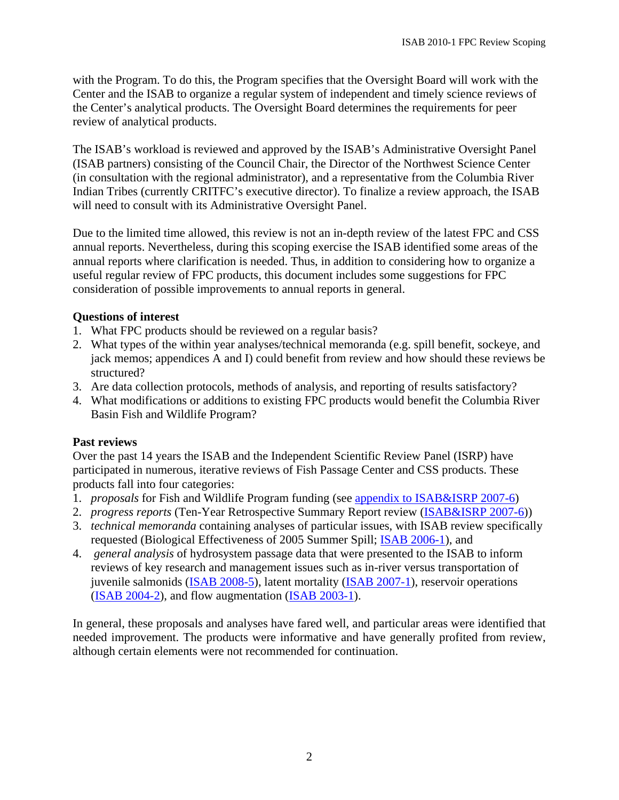with the Program. To do this, the Program specifies that the Oversight Board will work with the Center and the ISAB to organize a regular system of independent and timely science reviews of the Center's analytical products. The Oversight Board determines the requirements for peer review of analytical products.

The ISAB's workload is reviewed and approved by the ISAB's Administrative Oversight Panel (ISAB partners) consisting of the Council Chair, the Director of the Northwest Science Center (in consultation with the regional administrator), and a representative from the Columbia River Indian Tribes (currently CRITFC's executive director). To finalize a review approach, the ISAB will need to consult with its Administrative Oversight Panel.

Due to the limited time allowed, this review is not an in-depth review of the latest FPC and CSS annual reports. Nevertheless, during this scoping exercise the ISAB identified some areas of the annual reports where clarification is needed. Thus, in addition to considering how to organize a useful regular review of FPC products, this document includes some suggestions for FPC consideration of possible improvements to annual reports in general.

#### **Questions of interest**

- 1. What FPC products should be reviewed on a regular basis?
- 2. What types of the within year analyses/technical memoranda (e.g. spill benefit, sockeye, and jack memos; appendices A and I) could benefit from review and how should these reviews be structured?
- 3. Are data collection protocols, methods of analysis, and reporting of results satisfactory?
- 4. What modifications or additions to existing FPC products would benefit the Columbia River Basin Fish and Wildlife Program?

#### **Past reviews**

Over the past 14 years the ISAB and the Independent Scientific Review Panel (ISRP) have participated in numerous, iterative reviews of Fish Passage Center and CSS products. These products fall into four categories:

- 1. *proposals* for Fish and Wildlife Program funding (see appendix to ISAB&ISRP 2007-6)
- 2. *progress reports* (Ten-Year Retrospective Summary Report review (ISAB&ISRP 2007-6))
- 3. *technical memoranda* containing analyses of particular issues, with ISAB review specifically requested (Biological Effectiveness of 2005 Summer Spill; ISAB 2006-1), and
- 4. *general analysis* of hydrosystem passage data that were presented to the ISAB to inform reviews of key research and management issues such as in-river versus transportation of juvenile salmonids (**ISAB 2008-5**), latent mortality (**ISAB 2007-1**), reservoir operations (ISAB 2004-2), and flow augmentation (ISAB 2003-1).

In general, these proposals and analyses have fared well, and particular areas were identified that needed improvement. The products were informative and have generally profited from review, although certain elements were not recommended for continuation.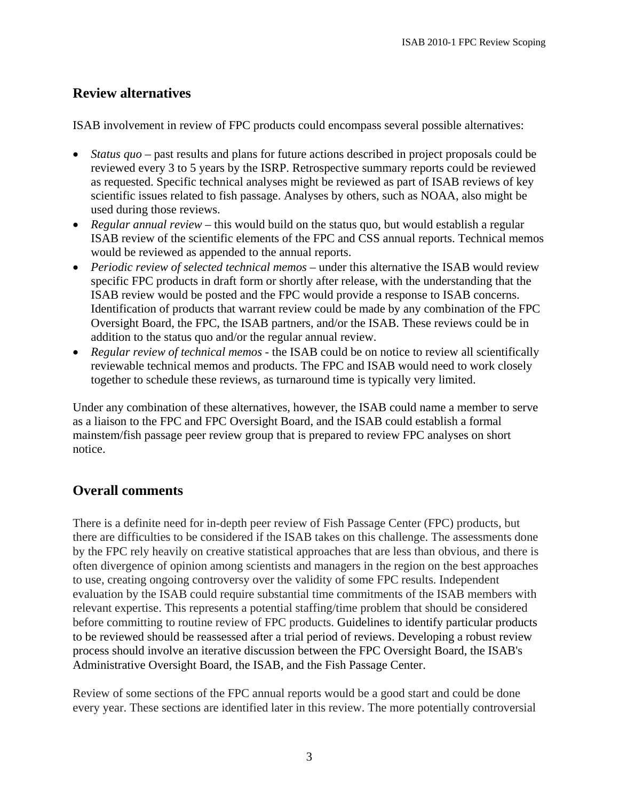## **Review alternatives**

ISAB involvement in review of FPC products could encompass several possible alternatives:

- *Status quo* past results and plans for future actions described in project proposals could be reviewed every 3 to 5 years by the ISRP. Retrospective summary reports could be reviewed as requested. Specific technical analyses might be reviewed as part of ISAB reviews of key scientific issues related to fish passage. Analyses by others, such as NOAA, also might be used during those reviews.
- *Regular annual review* this would build on the status quo, but would establish a regular ISAB review of the scientific elements of the FPC and CSS annual reports. Technical memos would be reviewed as appended to the annual reports.
- *Periodic review of selected technical memos* under this alternative the ISAB would review specific FPC products in draft form or shortly after release, with the understanding that the ISAB review would be posted and the FPC would provide a response to ISAB concerns. Identification of products that warrant review could be made by any combination of the FPC Oversight Board, the FPC, the ISAB partners, and/or the ISAB. These reviews could be in addition to the status quo and/or the regular annual review.
- *Regular review of technical memos*  the ISAB could be on notice to review all scientifically reviewable technical memos and products. The FPC and ISAB would need to work closely together to schedule these reviews, as turnaround time is typically very limited.

Under any combination of these alternatives, however, the ISAB could name a member to serve as a liaison to the FPC and FPC Oversight Board, and the ISAB could establish a formal mainstem/fish passage peer review group that is prepared to review FPC analyses on short notice.

## **Overall comments**

There is a definite need for in-depth peer review of Fish Passage Center (FPC) products, but there are difficulties to be considered if the ISAB takes on this challenge. The assessments done by the FPC rely heavily on creative statistical approaches that are less than obvious, and there is often divergence of opinion among scientists and managers in the region on the best approaches to use, creating ongoing controversy over the validity of some FPC results. Independent evaluation by the ISAB could require substantial time commitments of the ISAB members with relevant expertise. This represents a potential staffing/time problem that should be considered before committing to routine review of FPC products. Guidelines to identify particular products to be reviewed should be reassessed after a trial period of reviews. Developing a robust review process should involve an iterative discussion between the FPC Oversight Board, the ISAB's Administrative Oversight Board, the ISAB, and the Fish Passage Center.

Review of some sections of the FPC annual reports would be a good start and could be done every year. These sections are identified later in this review. The more potentially controversial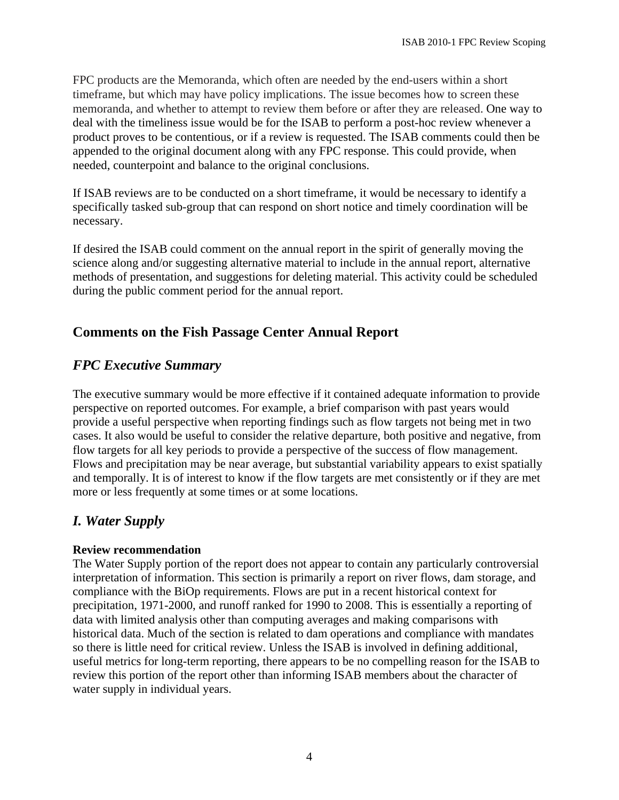FPC products are the Memoranda, which often are needed by the end-users within a short timeframe, but which may have policy implications. The issue becomes how to screen these memoranda, and whether to attempt to review them before or after they are released. One way to deal with the timeliness issue would be for the ISAB to perform a post-hoc review whenever a product proves to be contentious, or if a review is requested. The ISAB comments could then be appended to the original document along with any FPC response. This could provide, when needed, counterpoint and balance to the original conclusions.

If ISAB reviews are to be conducted on a short timeframe, it would be necessary to identify a specifically tasked sub-group that can respond on short notice and timely coordination will be necessary.

If desired the ISAB could comment on the annual report in the spirit of generally moving the science along and/or suggesting alternative material to include in the annual report, alternative methods of presentation, and suggestions for deleting material. This activity could be scheduled during the public comment period for the annual report.

## **Comments on the Fish Passage Center Annual Report**

## *FPC Executive Summary*

The executive summary would be more effective if it contained adequate information to provide perspective on reported outcomes. For example, a brief comparison with past years would provide a useful perspective when reporting findings such as flow targets not being met in two cases. It also would be useful to consider the relative departure, both positive and negative, from flow targets for all key periods to provide a perspective of the success of flow management. Flows and precipitation may be near average, but substantial variability appears to exist spatially and temporally. It is of interest to know if the flow targets are met consistently or if they are met more or less frequently at some times or at some locations.

## *I. Water Supply*

## **Review recommendation**

The Water Supply portion of the report does not appear to contain any particularly controversial interpretation of information. This section is primarily a report on river flows, dam storage, and compliance with the BiOp requirements. Flows are put in a recent historical context for precipitation, 1971-2000, and runoff ranked for 1990 to 2008. This is essentially a reporting of data with limited analysis other than computing averages and making comparisons with historical data. Much of the section is related to dam operations and compliance with mandates so there is little need for critical review. Unless the ISAB is involved in defining additional, useful metrics for long-term reporting, there appears to be no compelling reason for the ISAB to review this portion of the report other than informing ISAB members about the character of water supply in individual years.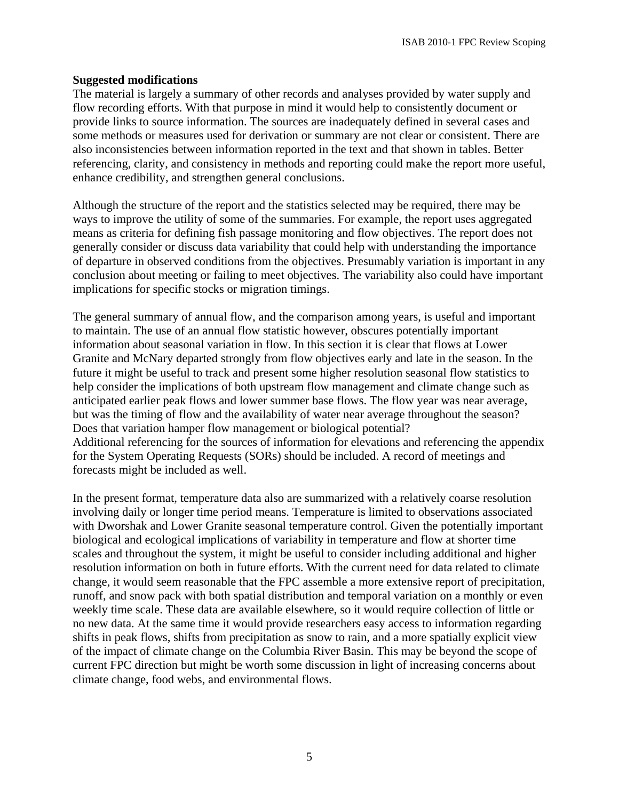#### **Suggested modifications**

The material is largely a summary of other records and analyses provided by water supply and flow recording efforts. With that purpose in mind it would help to consistently document or provide links to source information. The sources are inadequately defined in several cases and some methods or measures used for derivation or summary are not clear or consistent. There are also inconsistencies between information reported in the text and that shown in tables. Better referencing, clarity, and consistency in methods and reporting could make the report more useful, enhance credibility, and strengthen general conclusions.

Although the structure of the report and the statistics selected may be required, there may be ways to improve the utility of some of the summaries. For example, the report uses aggregated means as criteria for defining fish passage monitoring and flow objectives. The report does not generally consider or discuss data variability that could help with understanding the importance of departure in observed conditions from the objectives. Presumably variation is important in any conclusion about meeting or failing to meet objectives. The variability also could have important implications for specific stocks or migration timings.

The general summary of annual flow, and the comparison among years, is useful and important to maintain. The use of an annual flow statistic however, obscures potentially important information about seasonal variation in flow. In this section it is clear that flows at Lower Granite and McNary departed strongly from flow objectives early and late in the season. In the future it might be useful to track and present some higher resolution seasonal flow statistics to help consider the implications of both upstream flow management and climate change such as anticipated earlier peak flows and lower summer base flows. The flow year was near average, but was the timing of flow and the availability of water near average throughout the season? Does that variation hamper flow management or biological potential? Additional referencing for the sources of information for elevations and referencing the appendix for the System Operating Requests (SORs) should be included. A record of meetings and forecasts might be included as well.

In the present format, temperature data also are summarized with a relatively coarse resolution involving daily or longer time period means. Temperature is limited to observations associated with Dworshak and Lower Granite seasonal temperature control. Given the potentially important biological and ecological implications of variability in temperature and flow at shorter time scales and throughout the system, it might be useful to consider including additional and higher resolution information on both in future efforts. With the current need for data related to climate change, it would seem reasonable that the FPC assemble a more extensive report of precipitation, runoff, and snow pack with both spatial distribution and temporal variation on a monthly or even weekly time scale. These data are available elsewhere, so it would require collection of little or no new data. At the same time it would provide researchers easy access to information regarding shifts in peak flows, shifts from precipitation as snow to rain, and a more spatially explicit view of the impact of climate change on the Columbia River Basin. This may be beyond the scope of current FPC direction but might be worth some discussion in light of increasing concerns about climate change, food webs, and environmental flows.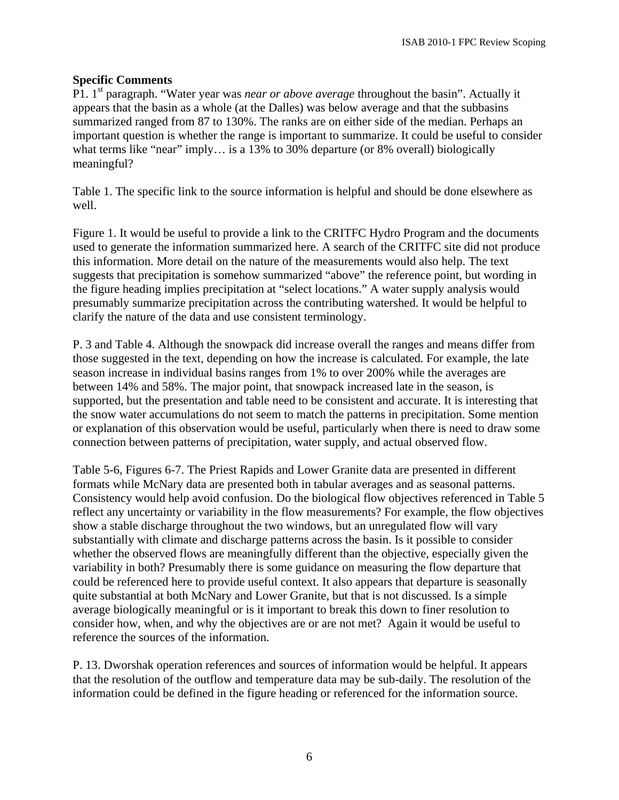### **Specific Comments**

P1. 1st paragraph. "Water year was *near or above average* throughout the basin". Actually it appears that the basin as a whole (at the Dalles) was below average and that the subbasins summarized ranged from 87 to 130%. The ranks are on either side of the median. Perhaps an important question is whether the range is important to summarize. It could be useful to consider what terms like "near" imply... is a 13% to 30% departure (or 8% overall) biologically meaningful?

Table 1. The specific link to the source information is helpful and should be done elsewhere as well.

Figure 1. It would be useful to provide a link to the CRITFC Hydro Program and the documents used to generate the information summarized here. A search of the CRITFC site did not produce this information. More detail on the nature of the measurements would also help. The text suggests that precipitation is somehow summarized "above" the reference point, but wording in the figure heading implies precipitation at "select locations." A water supply analysis would presumably summarize precipitation across the contributing watershed. It would be helpful to clarify the nature of the data and use consistent terminology.

P. 3 and Table 4. Although the snowpack did increase overall the ranges and means differ from those suggested in the text, depending on how the increase is calculated. For example, the late season increase in individual basins ranges from 1% to over 200% while the averages are between 14% and 58%. The major point, that snowpack increased late in the season, is supported, but the presentation and table need to be consistent and accurate. It is interesting that the snow water accumulations do not seem to match the patterns in precipitation. Some mention or explanation of this observation would be useful, particularly when there is need to draw some connection between patterns of precipitation, water supply, and actual observed flow.

Table 5-6, Figures 6-7. The Priest Rapids and Lower Granite data are presented in different formats while McNary data are presented both in tabular averages and as seasonal patterns. Consistency would help avoid confusion. Do the biological flow objectives referenced in Table 5 reflect any uncertainty or variability in the flow measurements? For example, the flow objectives show a stable discharge throughout the two windows, but an unregulated flow will vary substantially with climate and discharge patterns across the basin. Is it possible to consider whether the observed flows are meaningfully different than the objective, especially given the variability in both? Presumably there is some guidance on measuring the flow departure that could be referenced here to provide useful context. It also appears that departure is seasonally quite substantial at both McNary and Lower Granite, but that is not discussed. Is a simple average biologically meaningful or is it important to break this down to finer resolution to consider how, when, and why the objectives are or are not met? Again it would be useful to reference the sources of the information.

P. 13. Dworshak operation references and sources of information would be helpful. It appears that the resolution of the outflow and temperature data may be sub-daily. The resolution of the information could be defined in the figure heading or referenced for the information source.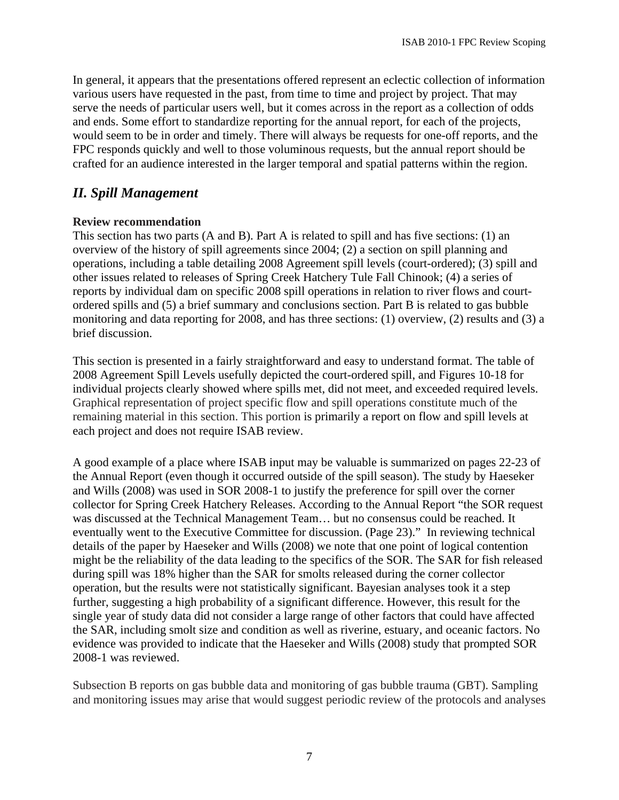In general, it appears that the presentations offered represent an eclectic collection of information various users have requested in the past, from time to time and project by project. That may serve the needs of particular users well, but it comes across in the report as a collection of odds and ends. Some effort to standardize reporting for the annual report, for each of the projects, would seem to be in order and timely. There will always be requests for one-off reports, and the FPC responds quickly and well to those voluminous requests, but the annual report should be crafted for an audience interested in the larger temporal and spatial patterns within the region.

## *II. Spill Management*

#### **Review recommendation**

This section has two parts (A and B). Part A is related to spill and has five sections: (1) an overview of the history of spill agreements since 2004; (2) a section on spill planning and operations, including a table detailing 2008 Agreement spill levels (court-ordered); (3) spill and other issues related to releases of Spring Creek Hatchery Tule Fall Chinook; (4) a series of reports by individual dam on specific 2008 spill operations in relation to river flows and courtordered spills and (5) a brief summary and conclusions section. Part B is related to gas bubble monitoring and data reporting for 2008, and has three sections: (1) overview, (2) results and (3) a brief discussion.

This section is presented in a fairly straightforward and easy to understand format. The table of 2008 Agreement Spill Levels usefully depicted the court-ordered spill, and Figures 10-18 for individual projects clearly showed where spills met, did not meet, and exceeded required levels. Graphical representation of project specific flow and spill operations constitute much of the remaining material in this section. This portion is primarily a report on flow and spill levels at each project and does not require ISAB review.

A good example of a place where ISAB input may be valuable is summarized on pages 22-23 of the Annual Report (even though it occurred outside of the spill season). The study by Haeseker and Wills (2008) was used in SOR 2008-1 to justify the preference for spill over the corner collector for Spring Creek Hatchery Releases. According to the Annual Report "the SOR request was discussed at the Technical Management Team… but no consensus could be reached. It eventually went to the Executive Committee for discussion. (Page 23)." In reviewing technical details of the paper by Haeseker and Wills (2008) we note that one point of logical contention might be the reliability of the data leading to the specifics of the SOR. The SAR for fish released during spill was 18% higher than the SAR for smolts released during the corner collector operation, but the results were not statistically significant. Bayesian analyses took it a step further, suggesting a high probability of a significant difference. However, this result for the single year of study data did not consider a large range of other factors that could have affected the SAR, including smolt size and condition as well as riverine, estuary, and oceanic factors. No evidence was provided to indicate that the Haeseker and Wills (2008) study that prompted SOR 2008-1 was reviewed.

Subsection B reports on gas bubble data and monitoring of gas bubble trauma (GBT). Sampling and monitoring issues may arise that would suggest periodic review of the protocols and analyses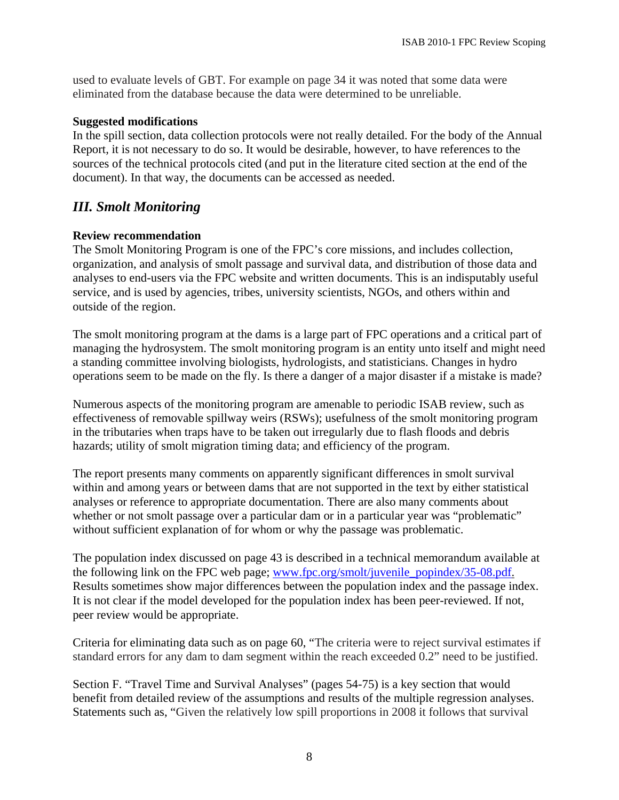used to evaluate levels of GBT. For example on page 34 it was noted that some data were eliminated from the database because the data were determined to be unreliable.

#### **Suggested modifications**

In the spill section, data collection protocols were not really detailed. For the body of the Annual Report, it is not necessary to do so. It would be desirable, however, to have references to the sources of the technical protocols cited (and put in the literature cited section at the end of the document). In that way, the documents can be accessed as needed.

## *III. Smolt Monitoring*

#### **Review recommendation**

The Smolt Monitoring Program is one of the FPC's core missions, and includes collection, organization, and analysis of smolt passage and survival data, and distribution of those data and analyses to end-users via the FPC website and written documents. This is an indisputably useful service, and is used by agencies, tribes, university scientists, NGOs, and others within and outside of the region.

The smolt monitoring program at the dams is a large part of FPC operations and a critical part of managing the hydrosystem. The smolt monitoring program is an entity unto itself and might need a standing committee involving biologists, hydrologists, and statisticians. Changes in hydro operations seem to be made on the fly. Is there a danger of a major disaster if a mistake is made?

Numerous aspects of the monitoring program are amenable to periodic ISAB review, such as effectiveness of removable spillway weirs (RSWs); usefulness of the smolt monitoring program in the tributaries when traps have to be taken out irregularly due to flash floods and debris hazards; utility of smolt migration timing data; and efficiency of the program.

The report presents many comments on apparently significant differences in smolt survival within and among years or between dams that are not supported in the text by either statistical analyses or reference to appropriate documentation. There are also many comments about whether or not smolt passage over a particular dam or in a particular year was "problematic" without sufficient explanation of for whom or why the passage was problematic.

The population index discussed on page 43 is described in a technical memorandum available at the following link on the FPC web page; www.fpc.org/smolt/juvenile\_popindex/35-08.pdf. Results sometimes show major differences between the population index and the passage index. It is not clear if the model developed for the population index has been peer-reviewed. If not, peer review would be appropriate.

Criteria for eliminating data such as on page 60, "The criteria were to reject survival estimates if standard errors for any dam to dam segment within the reach exceeded 0.2" need to be justified.

Section F. "Travel Time and Survival Analyses" (pages 54-75) is a key section that would benefit from detailed review of the assumptions and results of the multiple regression analyses. Statements such as, "Given the relatively low spill proportions in 2008 it follows that survival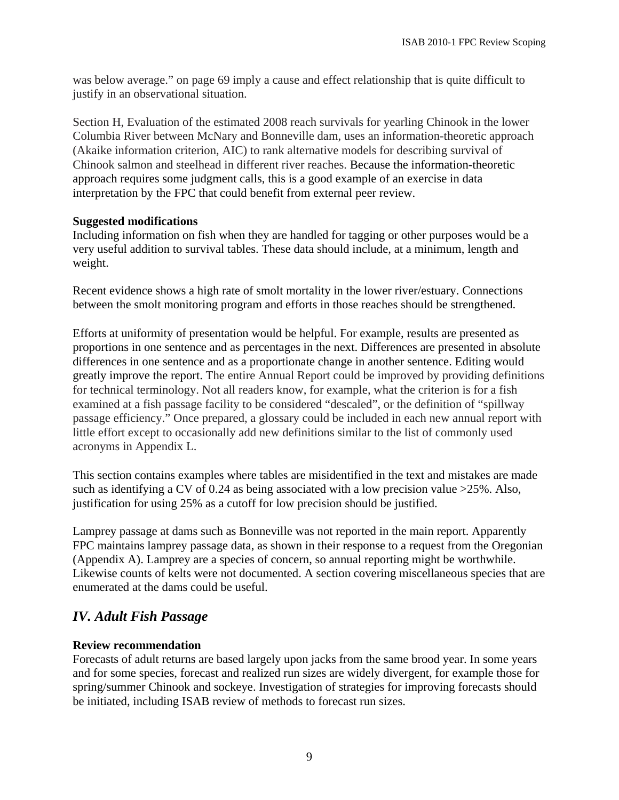was below average." on page 69 imply a cause and effect relationship that is quite difficult to justify in an observational situation.

Section H, Evaluation of the estimated 2008 reach survivals for yearling Chinook in the lower Columbia River between McNary and Bonneville dam, uses an information-theoretic approach (Akaike information criterion, AIC) to rank alternative models for describing survival of Chinook salmon and steelhead in different river reaches. Because the information-theoretic approach requires some judgment calls, this is a good example of an exercise in data interpretation by the FPC that could benefit from external peer review.

#### **Suggested modifications**

Including information on fish when they are handled for tagging or other purposes would be a very useful addition to survival tables. These data should include, at a minimum, length and weight.

Recent evidence shows a high rate of smolt mortality in the lower river/estuary. Connections between the smolt monitoring program and efforts in those reaches should be strengthened.

Efforts at uniformity of presentation would be helpful. For example, results are presented as proportions in one sentence and as percentages in the next. Differences are presented in absolute differences in one sentence and as a proportionate change in another sentence. Editing would greatly improve the report. The entire Annual Report could be improved by providing definitions for technical terminology. Not all readers know, for example, what the criterion is for a fish examined at a fish passage facility to be considered "descaled", or the definition of "spillway passage efficiency." Once prepared, a glossary could be included in each new annual report with little effort except to occasionally add new definitions similar to the list of commonly used acronyms in Appendix L.

This section contains examples where tables are misidentified in the text and mistakes are made such as identifying a CV of 0.24 as being associated with a low precision value >25%. Also, justification for using 25% as a cutoff for low precision should be justified.

Lamprey passage at dams such as Bonneville was not reported in the main report. Apparently FPC maintains lamprey passage data, as shown in their response to a request from the Oregonian (Appendix A). Lamprey are a species of concern, so annual reporting might be worthwhile. Likewise counts of kelts were not documented. A section covering miscellaneous species that are enumerated at the dams could be useful.

## *IV. Adult Fish Passage*

## **Review recommendation**

Forecasts of adult returns are based largely upon jacks from the same brood year. In some years and for some species, forecast and realized run sizes are widely divergent, for example those for spring/summer Chinook and sockeye. Investigation of strategies for improving forecasts should be initiated, including ISAB review of methods to forecast run sizes.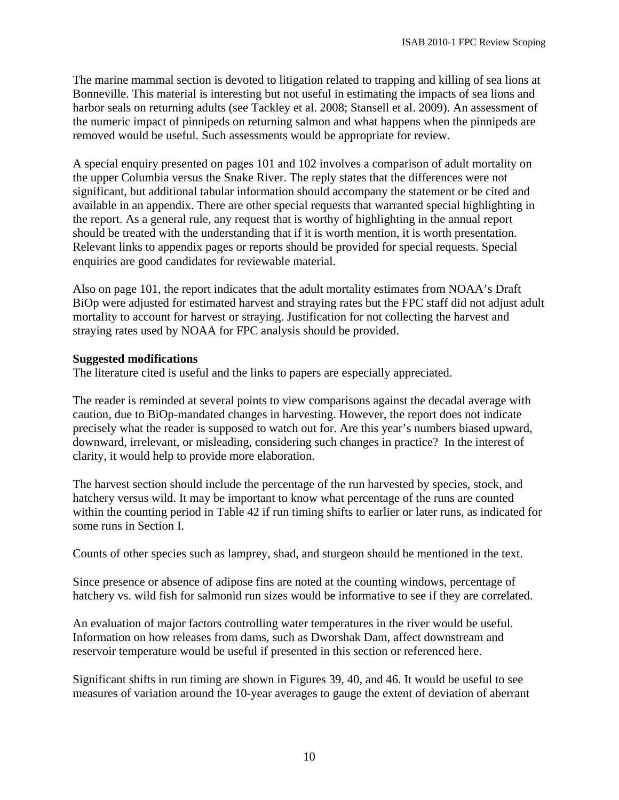The marine mammal section is devoted to litigation related to trapping and killing of sea lions at Bonneville. This material is interesting but not useful in estimating the impacts of sea lions and harbor seals on returning adults (see Tackley et al. 2008; Stansell et al. 2009). An assessment of the numeric impact of pinnipeds on returning salmon and what happens when the pinnipeds are removed would be useful. Such assessments would be appropriate for review.

A special enquiry presented on pages 101 and 102 involves a comparison of adult mortality on the upper Columbia versus the Snake River. The reply states that the differences were not significant, but additional tabular information should accompany the statement or be cited and available in an appendix. There are other special requests that warranted special highlighting in the report. As a general rule, any request that is worthy of highlighting in the annual report should be treated with the understanding that if it is worth mention, it is worth presentation. Relevant links to appendix pages or reports should be provided for special requests. Special enquiries are good candidates for reviewable material.

Also on page 101, the report indicates that the adult mortality estimates from NOAA's Draft BiOp were adjusted for estimated harvest and straying rates but the FPC staff did not adjust adult mortality to account for harvest or straying. Justification for not collecting the harvest and straying rates used by NOAA for FPC analysis should be provided.

#### **Suggested modifications**

The literature cited is useful and the links to papers are especially appreciated.

The reader is reminded at several points to view comparisons against the decadal average with caution, due to BiOp-mandated changes in harvesting. However, the report does not indicate precisely what the reader is supposed to watch out for. Are this year's numbers biased upward, downward, irrelevant, or misleading, considering such changes in practice? In the interest of clarity, it would help to provide more elaboration.

The harvest section should include the percentage of the run harvested by species, stock, and hatchery versus wild. It may be important to know what percentage of the runs are counted within the counting period in Table 42 if run timing shifts to earlier or later runs, as indicated for some runs in Section I.

Counts of other species such as lamprey, shad, and sturgeon should be mentioned in the text.

Since presence or absence of adipose fins are noted at the counting windows, percentage of hatchery vs. wild fish for salmonid run sizes would be informative to see if they are correlated.

An evaluation of major factors controlling water temperatures in the river would be useful. Information on how releases from dams, such as Dworshak Dam, affect downstream and reservoir temperature would be useful if presented in this section or referenced here.

Significant shifts in run timing are shown in Figures 39, 40, and 46. It would be useful to see measures of variation around the 10-year averages to gauge the extent of deviation of aberrant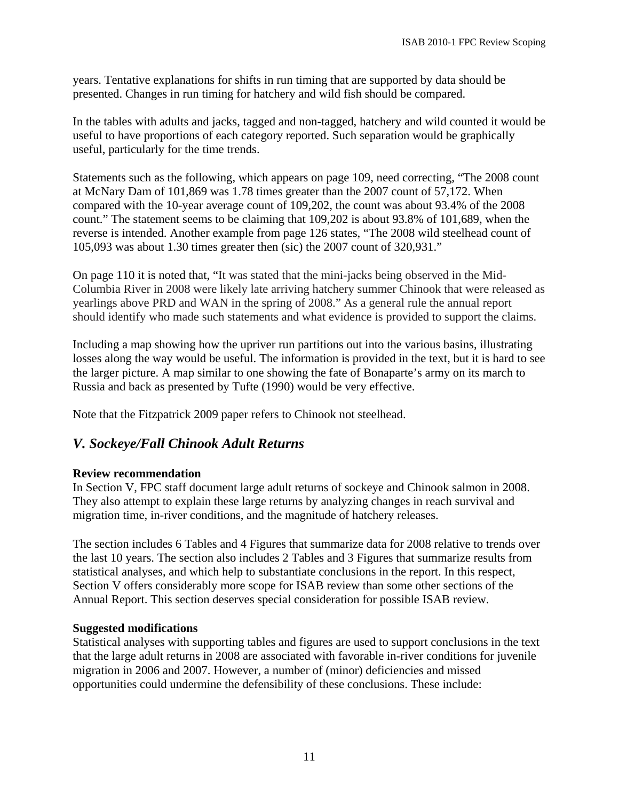years. Tentative explanations for shifts in run timing that are supported by data should be presented. Changes in run timing for hatchery and wild fish should be compared.

In the tables with adults and jacks, tagged and non-tagged, hatchery and wild counted it would be useful to have proportions of each category reported. Such separation would be graphically useful, particularly for the time trends.

Statements such as the following, which appears on page 109, need correcting, "The 2008 count at McNary Dam of 101,869 was 1.78 times greater than the 2007 count of 57,172. When compared with the 10-year average count of 109,202, the count was about 93.4% of the 2008 count." The statement seems to be claiming that 109,202 is about 93.8% of 101,689, when the reverse is intended. Another example from page 126 states, "The 2008 wild steelhead count of 105,093 was about 1.30 times greater then (sic) the 2007 count of 320,931."

On page 110 it is noted that, "It was stated that the mini-jacks being observed in the Mid-Columbia River in 2008 were likely late arriving hatchery summer Chinook that were released as yearlings above PRD and WAN in the spring of 2008." As a general rule the annual report should identify who made such statements and what evidence is provided to support the claims.

Including a map showing how the upriver run partitions out into the various basins, illustrating losses along the way would be useful. The information is provided in the text, but it is hard to see the larger picture. A map similar to one showing the fate of Bonaparte's army on its march to Russia and back as presented by Tufte (1990) would be very effective.

Note that the Fitzpatrick 2009 paper refers to Chinook not steelhead.

## *V. Sockeye/Fall Chinook Adult Returns*

#### **Review recommendation**

In Section V, FPC staff document large adult returns of sockeye and Chinook salmon in 2008. They also attempt to explain these large returns by analyzing changes in reach survival and migration time, in-river conditions, and the magnitude of hatchery releases.

The section includes 6 Tables and 4 Figures that summarize data for 2008 relative to trends over the last 10 years. The section also includes 2 Tables and 3 Figures that summarize results from statistical analyses, and which help to substantiate conclusions in the report. In this respect, Section V offers considerably more scope for ISAB review than some other sections of the Annual Report. This section deserves special consideration for possible ISAB review.

#### **Suggested modifications**

Statistical analyses with supporting tables and figures are used to support conclusions in the text that the large adult returns in 2008 are associated with favorable in-river conditions for juvenile migration in 2006 and 2007. However, a number of (minor) deficiencies and missed opportunities could undermine the defensibility of these conclusions. These include: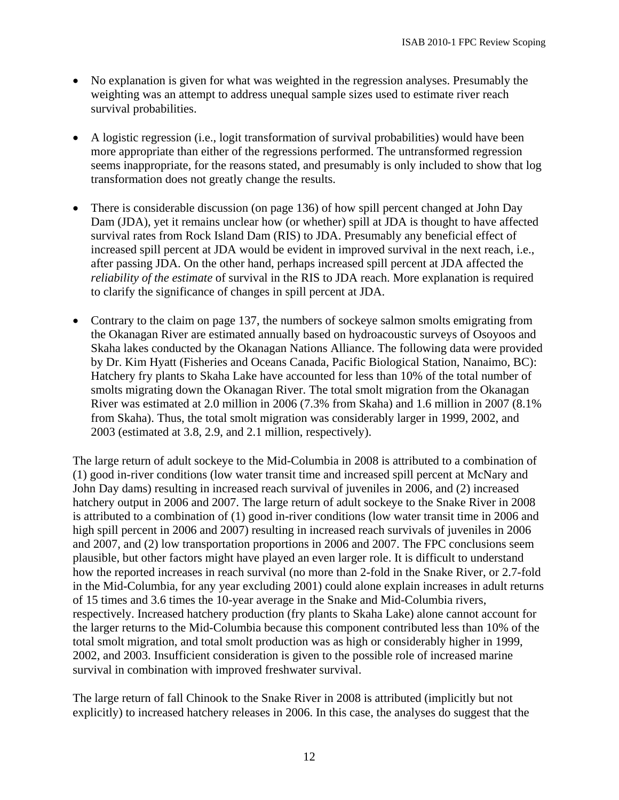- No explanation is given for what was weighted in the regression analyses. Presumably the weighting was an attempt to address unequal sample sizes used to estimate river reach survival probabilities.
- A logistic regression (i.e., logit transformation of survival probabilities) would have been more appropriate than either of the regressions performed. The untransformed regression seems inappropriate, for the reasons stated, and presumably is only included to show that log transformation does not greatly change the results.
- There is considerable discussion (on page 136) of how spill percent changed at John Day Dam (JDA), yet it remains unclear how (or whether) spill at JDA is thought to have affected survival rates from Rock Island Dam (RIS) to JDA. Presumably any beneficial effect of increased spill percent at JDA would be evident in improved survival in the next reach, i.e., after passing JDA. On the other hand, perhaps increased spill percent at JDA affected the *reliability of the estimate* of survival in the RIS to JDA reach. More explanation is required to clarify the significance of changes in spill percent at JDA.
- Contrary to the claim on page 137, the numbers of sockeye salmon smolts emigrating from the Okanagan River are estimated annually based on hydroacoustic surveys of Osoyoos and Skaha lakes conducted by the Okanagan Nations Alliance. The following data were provided by Dr. Kim Hyatt (Fisheries and Oceans Canada, Pacific Biological Station, Nanaimo, BC): Hatchery fry plants to Skaha Lake have accounted for less than 10% of the total number of smolts migrating down the Okanagan River. The total smolt migration from the Okanagan River was estimated at 2.0 million in 2006 (7.3% from Skaha) and 1.6 million in 2007 (8.1% from Skaha). Thus, the total smolt migration was considerably larger in 1999, 2002, and 2003 (estimated at 3.8, 2.9, and 2.1 million, respectively).

The large return of adult sockeye to the Mid-Columbia in 2008 is attributed to a combination of (1) good in-river conditions (low water transit time and increased spill percent at McNary and John Day dams) resulting in increased reach survival of juveniles in 2006, and (2) increased hatchery output in 2006 and 2007. The large return of adult sockeye to the Snake River in 2008 is attributed to a combination of (1) good in-river conditions (low water transit time in 2006 and high spill percent in 2006 and 2007) resulting in increased reach survivals of juveniles in 2006 and 2007, and (2) low transportation proportions in 2006 and 2007. The FPC conclusions seem plausible, but other factors might have played an even larger role. It is difficult to understand how the reported increases in reach survival (no more than 2-fold in the Snake River, or 2.7-fold in the Mid-Columbia, for any year excluding 2001) could alone explain increases in adult returns of 15 times and 3.6 times the 10-year average in the Snake and Mid-Columbia rivers, respectively. Increased hatchery production (fry plants to Skaha Lake) alone cannot account for the larger returns to the Mid-Columbia because this component contributed less than 10% of the total smolt migration, and total smolt production was as high or considerably higher in 1999, 2002, and 2003. Insufficient consideration is given to the possible role of increased marine survival in combination with improved freshwater survival.

The large return of fall Chinook to the Snake River in 2008 is attributed (implicitly but not explicitly) to increased hatchery releases in 2006. In this case, the analyses do suggest that the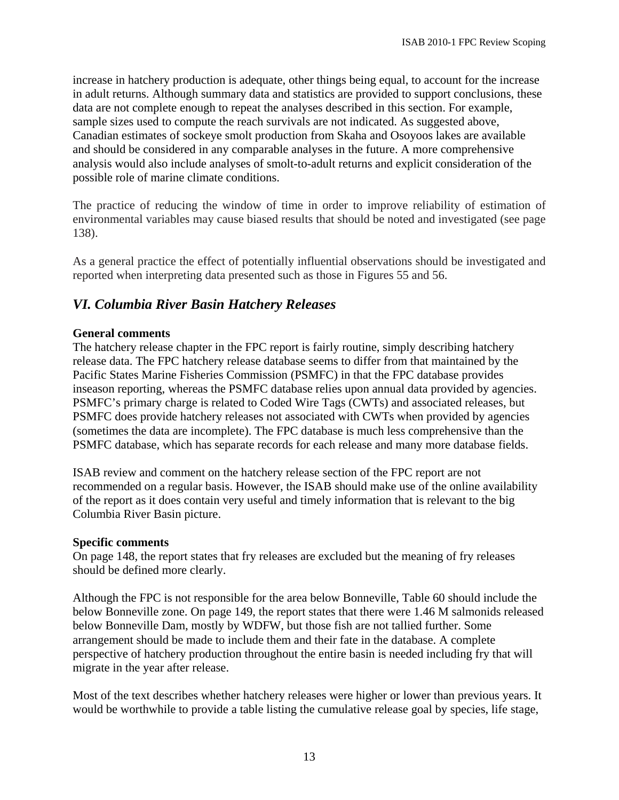increase in hatchery production is adequate, other things being equal, to account for the increase in adult returns. Although summary data and statistics are provided to support conclusions, these data are not complete enough to repeat the analyses described in this section. For example, sample sizes used to compute the reach survivals are not indicated. As suggested above, Canadian estimates of sockeye smolt production from Skaha and Osoyoos lakes are available and should be considered in any comparable analyses in the future. A more comprehensive analysis would also include analyses of smolt-to-adult returns and explicit consideration of the possible role of marine climate conditions.

The practice of reducing the window of time in order to improve reliability of estimation of environmental variables may cause biased results that should be noted and investigated (see page 138).

As a general practice the effect of potentially influential observations should be investigated and reported when interpreting data presented such as those in Figures 55 and 56.

## *VI. Columbia River Basin Hatchery Releases*

#### **General comments**

The hatchery release chapter in the FPC report is fairly routine, simply describing hatchery release data. The FPC hatchery release database seems to differ from that maintained by the Pacific States Marine Fisheries Commission (PSMFC) in that the FPC database provides inseason reporting, whereas the PSMFC database relies upon annual data provided by agencies. PSMFC's primary charge is related to Coded Wire Tags (CWTs) and associated releases, but PSMFC does provide hatchery releases not associated with CWTs when provided by agencies (sometimes the data are incomplete). The FPC database is much less comprehensive than the PSMFC database, which has separate records for each release and many more database fields.

ISAB review and comment on the hatchery release section of the FPC report are not recommended on a regular basis. However, the ISAB should make use of the online availability of the report as it does contain very useful and timely information that is relevant to the big Columbia River Basin picture.

#### **Specific comments**

On page 148, the report states that fry releases are excluded but the meaning of fry releases should be defined more clearly.

Although the FPC is not responsible for the area below Bonneville, Table 60 should include the below Bonneville zone. On page 149, the report states that there were 1.46 M salmonids released below Bonneville Dam, mostly by WDFW, but those fish are not tallied further. Some arrangement should be made to include them and their fate in the database. A complete perspective of hatchery production throughout the entire basin is needed including fry that will migrate in the year after release.

Most of the text describes whether hatchery releases were higher or lower than previous years. It would be worthwhile to provide a table listing the cumulative release goal by species, life stage,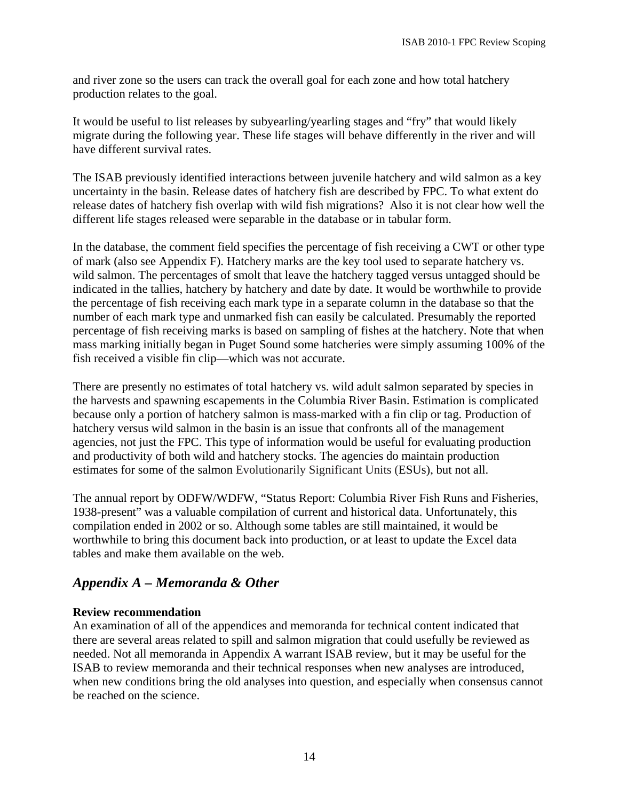and river zone so the users can track the overall goal for each zone and how total hatchery production relates to the goal.

It would be useful to list releases by subyearling/yearling stages and "fry" that would likely migrate during the following year. These life stages will behave differently in the river and will have different survival rates.

The ISAB previously identified interactions between juvenile hatchery and wild salmon as a key uncertainty in the basin. Release dates of hatchery fish are described by FPC. To what extent do release dates of hatchery fish overlap with wild fish migrations? Also it is not clear how well the different life stages released were separable in the database or in tabular form.

In the database, the comment field specifies the percentage of fish receiving a CWT or other type of mark (also see Appendix F). Hatchery marks are the key tool used to separate hatchery vs. wild salmon. The percentages of smolt that leave the hatchery tagged versus untagged should be indicated in the tallies, hatchery by hatchery and date by date. It would be worthwhile to provide the percentage of fish receiving each mark type in a separate column in the database so that the number of each mark type and unmarked fish can easily be calculated. Presumably the reported percentage of fish receiving marks is based on sampling of fishes at the hatchery. Note that when mass marking initially began in Puget Sound some hatcheries were simply assuming 100% of the fish received a visible fin clip—which was not accurate.

There are presently no estimates of total hatchery vs. wild adult salmon separated by species in the harvests and spawning escapements in the Columbia River Basin. Estimation is complicated because only a portion of hatchery salmon is mass-marked with a fin clip or tag. Production of hatchery versus wild salmon in the basin is an issue that confronts all of the management agencies, not just the FPC. This type of information would be useful for evaluating production and productivity of both wild and hatchery stocks. The agencies do maintain production estimates for some of the salmon Evolutionarily Significant Units (ESUs), but not all.

The annual report by ODFW/WDFW, "Status Report: Columbia River Fish Runs and Fisheries, 1938-present" was a valuable compilation of current and historical data. Unfortunately, this compilation ended in 2002 or so. Although some tables are still maintained, it would be worthwhile to bring this document back into production, or at least to update the Excel data tables and make them available on the web.

## *Appendix A – Memoranda & Other*

#### **Review recommendation**

An examination of all of the appendices and memoranda for technical content indicated that there are several areas related to spill and salmon migration that could usefully be reviewed as needed. Not all memoranda in Appendix A warrant ISAB review, but it may be useful for the ISAB to review memoranda and their technical responses when new analyses are introduced, when new conditions bring the old analyses into question, and especially when consensus cannot be reached on the science.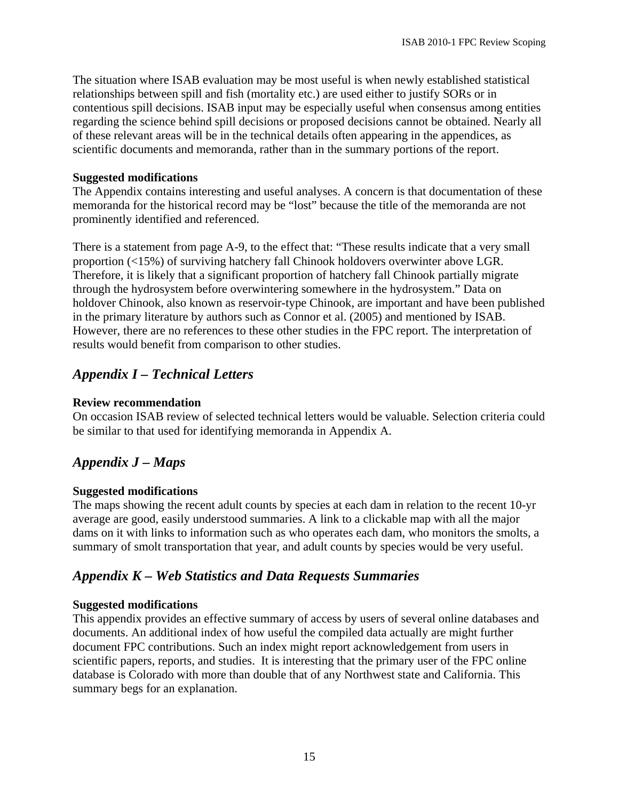The situation where ISAB evaluation may be most useful is when newly established statistical relationships between spill and fish (mortality etc.) are used either to justify SORs or in contentious spill decisions. ISAB input may be especially useful when consensus among entities regarding the science behind spill decisions or proposed decisions cannot be obtained. Nearly all of these relevant areas will be in the technical details often appearing in the appendices, as scientific documents and memoranda, rather than in the summary portions of the report.

### **Suggested modifications**

The Appendix contains interesting and useful analyses. A concern is that documentation of these memoranda for the historical record may be "lost" because the title of the memoranda are not prominently identified and referenced.

There is a statement from page A-9, to the effect that: "These results indicate that a very small proportion (<15%) of surviving hatchery fall Chinook holdovers overwinter above LGR. Therefore, it is likely that a significant proportion of hatchery fall Chinook partially migrate through the hydrosystem before overwintering somewhere in the hydrosystem." Data on holdover Chinook, also known as reservoir-type Chinook, are important and have been published in the primary literature by authors such as Connor et al. (2005) and mentioned by ISAB. However, there are no references to these other studies in the FPC report. The interpretation of results would benefit from comparison to other studies.

## *Appendix I – Technical Letters*

### **Review recommendation**

On occasion ISAB review of selected technical letters would be valuable. Selection criteria could be similar to that used for identifying memoranda in Appendix A.

## *Appendix J – Maps*

## **Suggested modifications**

The maps showing the recent adult counts by species at each dam in relation to the recent 10-yr average are good, easily understood summaries. A link to a clickable map with all the major dams on it with links to information such as who operates each dam, who monitors the smolts, a summary of smolt transportation that year, and adult counts by species would be very useful.

## *Appendix K – Web Statistics and Data Requests Summaries*

## **Suggested modifications**

This appendix provides an effective summary of access by users of several online databases and documents. An additional index of how useful the compiled data actually are might further document FPC contributions. Such an index might report acknowledgement from users in scientific papers, reports, and studies. It is interesting that the primary user of the FPC online database is Colorado with more than double that of any Northwest state and California. This summary begs for an explanation.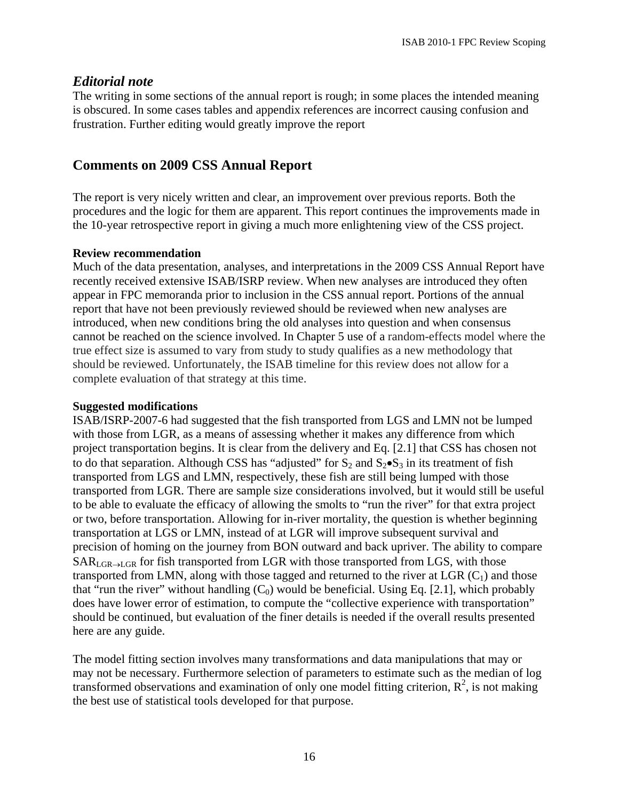## *Editorial note*

The writing in some sections of the annual report is rough; in some places the intended meaning is obscured. In some cases tables and appendix references are incorrect causing confusion and frustration. Further editing would greatly improve the report

## **Comments on 2009 CSS Annual Report**

The report is very nicely written and clear, an improvement over previous reports. Both the procedures and the logic for them are apparent. This report continues the improvements made in the 10-year retrospective report in giving a much more enlightening view of the CSS project.

#### **Review recommendation**

Much of the data presentation, analyses, and interpretations in the 2009 CSS Annual Report have recently received extensive ISAB/ISRP review. When new analyses are introduced they often appear in FPC memoranda prior to inclusion in the CSS annual report. Portions of the annual report that have not been previously reviewed should be reviewed when new analyses are introduced, when new conditions bring the old analyses into question and when consensus cannot be reached on the science involved. In Chapter 5 use of a random-effects model where the true effect size is assumed to vary from study to study qualifies as a new methodology that should be reviewed. Unfortunately, the ISAB timeline for this review does not allow for a complete evaluation of that strategy at this time.

#### **Suggested modifications**

ISAB/ISRP-2007-6 had suggested that the fish transported from LGS and LMN not be lumped with those from LGR, as a means of assessing whether it makes any difference from which project transportation begins. It is clear from the delivery and Eq. [2.1] that CSS has chosen not to do that separation. Although CSS has "adjusted" for  $S_2$  and  $S_2 \bullet S_3$  in its treatment of fish transported from LGS and LMN, respectively, these fish are still being lumped with those transported from LGR. There are sample size considerations involved, but it would still be useful to be able to evaluate the efficacy of allowing the smolts to "run the river" for that extra project or two, before transportation. Allowing for in-river mortality, the question is whether beginning transportation at LGS or LMN, instead of at LGR will improve subsequent survival and precision of homing on the journey from BON outward and back upriver. The ability to compare  $SAR<sub>LGR\rightarrow LGR</sub>$  for fish transported from LGR with those transported from LGS, with those transported from LMN, along with those tagged and returned to the river at LGR  $(C_1)$  and those that "run the river" without handling  $(C_0)$  would be beneficial. Using Eq. [2.1], which probably does have lower error of estimation, to compute the "collective experience with transportation" should be continued, but evaluation of the finer details is needed if the overall results presented here are any guide.

The model fitting section involves many transformations and data manipulations that may or may not be necessary. Furthermore selection of parameters to estimate such as the median of log transformed observations and examination of only one model fitting criterion,  $R^2$ , is not making the best use of statistical tools developed for that purpose.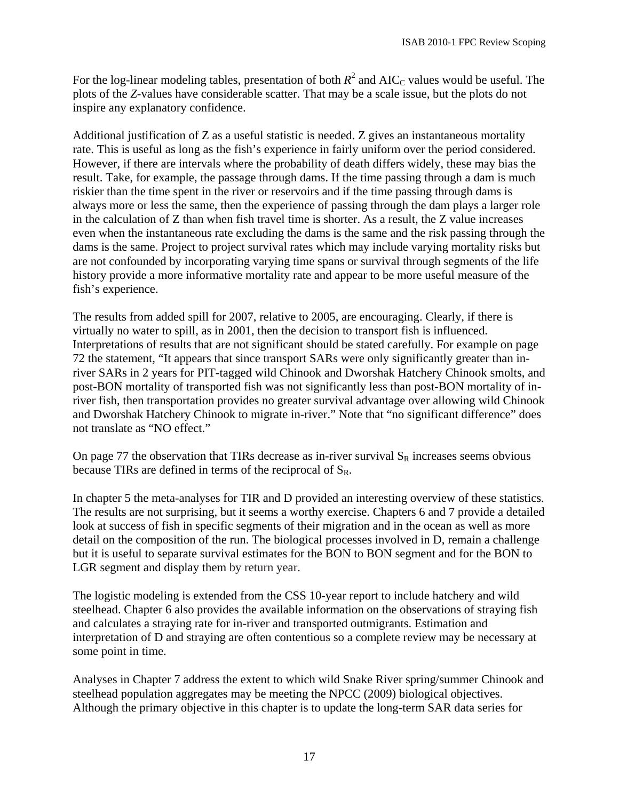For the log-linear modeling tables, presentation of both  $R^2$  and AIC<sub>C</sub> values would be useful. The plots of the *Z*-values have considerable scatter. That may be a scale issue, but the plots do not inspire any explanatory confidence.

Additional justification of Z as a useful statistic is needed. Z gives an instantaneous mortality rate. This is useful as long as the fish's experience in fairly uniform over the period considered. However, if there are intervals where the probability of death differs widely, these may bias the result. Take, for example, the passage through dams. If the time passing through a dam is much riskier than the time spent in the river or reservoirs and if the time passing through dams is always more or less the same, then the experience of passing through the dam plays a larger role in the calculation of Z than when fish travel time is shorter. As a result, the Z value increases even when the instantaneous rate excluding the dams is the same and the risk passing through the dams is the same. Project to project survival rates which may include varying mortality risks but are not confounded by incorporating varying time spans or survival through segments of the life history provide a more informative mortality rate and appear to be more useful measure of the fish's experience.

The results from added spill for 2007, relative to 2005, are encouraging. Clearly, if there is virtually no water to spill, as in 2001, then the decision to transport fish is influenced. Interpretations of results that are not significant should be stated carefully. For example on page 72 the statement, "It appears that since transport SARs were only significantly greater than inriver SARs in 2 years for PIT-tagged wild Chinook and Dworshak Hatchery Chinook smolts, and post-BON mortality of transported fish was not significantly less than post-BON mortality of inriver fish, then transportation provides no greater survival advantage over allowing wild Chinook and Dworshak Hatchery Chinook to migrate in-river." Note that "no significant difference" does not translate as "NO effect."

On page 77 the observation that TIRs decrease as in-river survival  $S_R$  increases seems obvious because TIRs are defined in terms of the reciprocal of  $S_R$ .

In chapter 5 the meta-analyses for TIR and D provided an interesting overview of these statistics. The results are not surprising, but it seems a worthy exercise. Chapters 6 and 7 provide a detailed look at success of fish in specific segments of their migration and in the ocean as well as more detail on the composition of the run. The biological processes involved in D, remain a challenge but it is useful to separate survival estimates for the BON to BON segment and for the BON to LGR segment and display them by return year.

The logistic modeling is extended from the CSS 10-year report to include hatchery and wild steelhead. Chapter 6 also provides the available information on the observations of straying fish and calculates a straying rate for in-river and transported outmigrants. Estimation and interpretation of D and straying are often contentious so a complete review may be necessary at some point in time.

Analyses in Chapter 7 address the extent to which wild Snake River spring/summer Chinook and steelhead population aggregates may be meeting the NPCC (2009) biological objectives. Although the primary objective in this chapter is to update the long-term SAR data series for